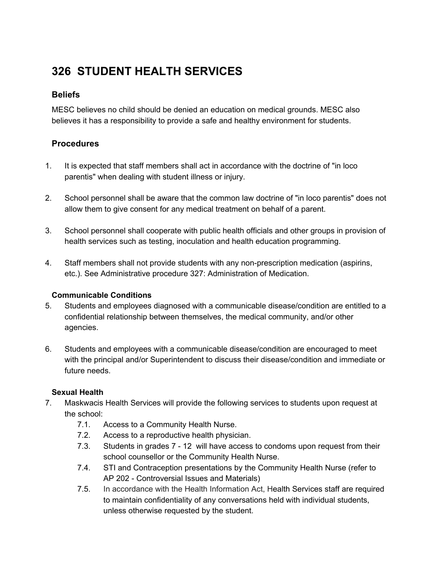# **326 STUDENT HEALTH SERVICES**

# **Beliefs**

MESC believes no child should be denied an education on medical grounds. MESC also believes it has a responsibility to provide a safe and healthy environment for students.

# **Procedures**

- 1. It is expected that staff members shall act in accordance with the doctrine of "in loco parentis" when dealing with student illness or injury.
- 2. School personnel shall be aware that the common law doctrine of "in loco parentis" does not allow them to give consent for any medical treatment on behalf of a parent.
- 3. School personnel shall cooperate with public health officials and other groups in provision of health services such as testing, inoculation and health education programming.
- 4. Staff members shall not provide students with any non-prescription medication (aspirins, etc.). See Administrative procedure 327: Administration of Medication.

## **Communicable Conditions**

- 5. Students and employees diagnosed with a communicable disease/condition are entitled to a confidential relationship between themselves, the medical community, and/or other agencies.
- 6. Students and employees with a communicable disease/condition are encouraged to meet with the principal and/or Superintendent to discuss their disease/condition and immediate or future needs.

## **Sexual Health**

- 7. Maskwacis Health Services will provide the following services to students upon request at the school:
	- 7.1. Access to a Community Health Nurse.
	- 7.2. Access to a reproductive health physician.
	- 7.3. Students in grades 7 12 will have access to condoms upon request from their school counsellor or the Community Health Nurse.
	- 7.4. STI and Contraception presentations by the Community Health Nurse (refer to AP 202 - Controversial Issues and Materials)
	- 7.5. In accordance with the Health Information Act, Health Services staff are required to maintain confidentiality of any conversations held with individual students, unless otherwise requested by the student.